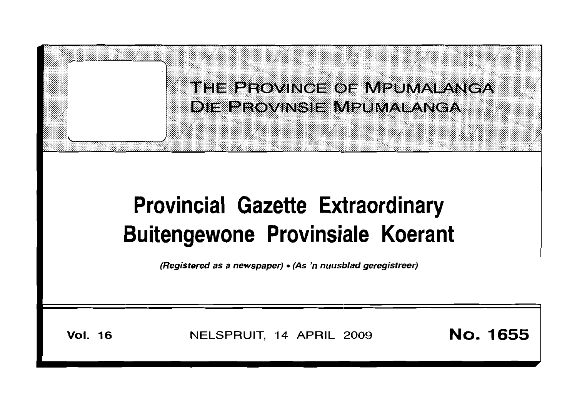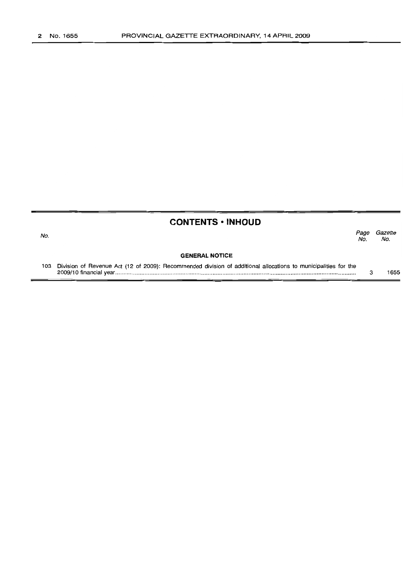No.

## **CONTENTS ·INHOUD**

Page Gazette<br>No. No. No. No.

#### **GENERAL NOTICE**

103 Division of Revenue Act (12 of 2009): Recommended division of additional allocations to municipalities for the 2009/10 financial year . 3 1655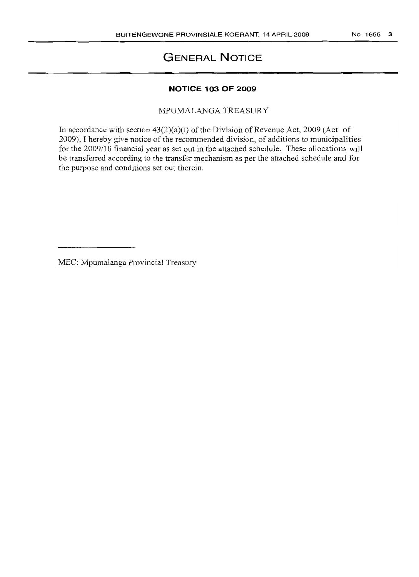## **GENERAL NOTICE**

#### **NOTICE 103 OF 2009**

MPUMALANGA TREASURY

In accordance with section  $43(2)(a)(i)$  of the Division of Revenue Act, 2009 (Act of 2009), I hereby give notice of the recommended division, of additions to municipalities for the 2009/10 financial year as set out in the attached schedule. These allocations will be transferred according to the transfer mechanism as per the attached schedule and for the purpose and conditions set out therein.

MEC: Mpumalanga Provincial Treasury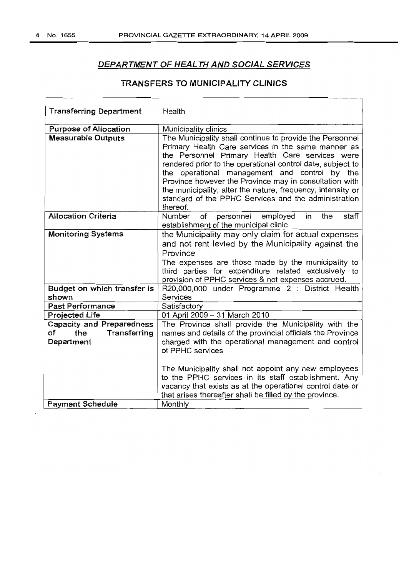$\overline{1}$ 

٦

#### DEPARTMENT OF HEALTH AND SOCIAL SERVICES

### TRANSFERS TO MUNICIPALITY CLINICS

 $\overline{\phantom{0}}$ 

| <b>Purpose of Allocation</b><br>Municipality clinics<br><b>Measurable Outputs</b><br>The Municipality shall continue to provide the Personnel<br>Primary Health Care services in the same manner as<br>the Personnel Primary Health Care services were<br>rendered prior to the operational control date, subject to<br>the operational management and control by the<br>Province however the Province may in consultation with<br>the municipality, alter the nature, frequency, intensity or<br>standard of the PPHC Services and the administration<br>thereof.<br><b>Allocation Criteria</b><br>of<br>employed<br>Number<br>personnel<br>the<br>in<br>establishment of the municipal clinic<br><b>Monitoring Systems</b><br>the Municipality may only claim for actual expenses<br>and not rent levied by the Municipality against the<br>Province |       |
|--------------------------------------------------------------------------------------------------------------------------------------------------------------------------------------------------------------------------------------------------------------------------------------------------------------------------------------------------------------------------------------------------------------------------------------------------------------------------------------------------------------------------------------------------------------------------------------------------------------------------------------------------------------------------------------------------------------------------------------------------------------------------------------------------------------------------------------------------------|-------|
|                                                                                                                                                                                                                                                                                                                                                                                                                                                                                                                                                                                                                                                                                                                                                                                                                                                        |       |
|                                                                                                                                                                                                                                                                                                                                                                                                                                                                                                                                                                                                                                                                                                                                                                                                                                                        |       |
|                                                                                                                                                                                                                                                                                                                                                                                                                                                                                                                                                                                                                                                                                                                                                                                                                                                        | staff |
| The expenses are those made by the municipality to<br>third parties for expenditure related exclusively to<br>provision of PPHC services & not expenses accrued.                                                                                                                                                                                                                                                                                                                                                                                                                                                                                                                                                                                                                                                                                       |       |
| R20,000,000 under Programme 2 : District Health<br>Budget on which transfer is<br>shown<br>Services                                                                                                                                                                                                                                                                                                                                                                                                                                                                                                                                                                                                                                                                                                                                                    |       |
| <b>Past Performance</b><br>Satisfactory                                                                                                                                                                                                                                                                                                                                                                                                                                                                                                                                                                                                                                                                                                                                                                                                                |       |
| 01 April 2009 - 31 March 2010<br><b>Projected Life</b>                                                                                                                                                                                                                                                                                                                                                                                                                                                                                                                                                                                                                                                                                                                                                                                                 |       |
| <b>Capacity and Preparedness</b><br>The Province shall provide the Municipality with the<br>names and details of the provincial officials the Province<br>оf<br>the<br>Transferring<br>charged with the operational management and control<br>Department<br>of PPHC services                                                                                                                                                                                                                                                                                                                                                                                                                                                                                                                                                                           |       |
| The Municipality shall not appoint any new employees<br>to the PPHC services in its staff establishment. Any<br>vacancy that exists as at the operational control date or<br>that arises thereafter shall be filled by the province.<br>Monthly<br><b>Payment Schedule</b>                                                                                                                                                                                                                                                                                                                                                                                                                                                                                                                                                                             |       |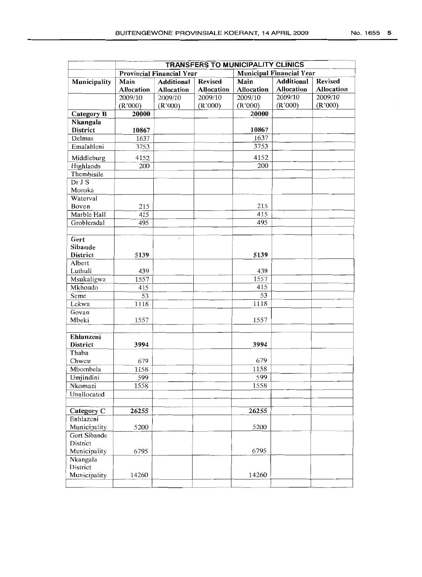|                   | TRANSFERS TO MUNICIPALITY CLINICS |                                  |                   |                 |                                 |                |  |
|-------------------|-----------------------------------|----------------------------------|-------------------|-----------------|---------------------------------|----------------|--|
|                   |                                   | <b>Provincial Financial Year</b> |                   |                 | <b>Municipal Financial Year</b> |                |  |
| Municipality      | Main                              | <b>Additional</b>                | <b>Revised</b>    | Main            | <b>Additional</b>               | <b>Revised</b> |  |
|                   | Allocation                        | Allocation                       | <b>Allocation</b> | Allocation      | Allocation                      | Allocation     |  |
|                   | 2009/10                           | 2009/10                          | 2009/10           | 2009/10         | 2009/10                         | 2009/10        |  |
|                   | (R'000)                           | (R'000)                          | (R'000)           | (R'000)         | (R'000)                         | (R'000)        |  |
| <b>Category B</b> | 20000                             |                                  |                   | 20000           |                                 |                |  |
| Nkangala          |                                   |                                  |                   |                 |                                 |                |  |
| District          | 10867                             |                                  |                   | 10867           |                                 |                |  |
| Delmas            | 1637                              |                                  |                   | 1637            |                                 |                |  |
| Emalahleni        | 3753                              |                                  |                   | 3753            |                                 |                |  |
| Middleburg        | 4152                              |                                  |                   | 4152            |                                 |                |  |
| Highlands         | 200                               |                                  |                   | 200             |                                 |                |  |
| Thembisile        |                                   |                                  |                   |                 |                                 |                |  |
| Dr J S            |                                   |                                  |                   |                 |                                 |                |  |
| Moroka            |                                   |                                  |                   |                 |                                 |                |  |
| Waterval          |                                   |                                  |                   |                 |                                 |                |  |
| Boven             | 215                               |                                  |                   | 215             |                                 |                |  |
| Marble Hall       | 415                               |                                  |                   | 415             |                                 |                |  |
| Groblersdal       | 495                               |                                  |                   | 495             |                                 |                |  |
|                   |                                   |                                  |                   |                 |                                 |                |  |
| Gert              |                                   | $\epsilon$                       |                   |                 |                                 |                |  |
| Sibande           |                                   |                                  |                   |                 |                                 |                |  |
| District          | 5139                              |                                  |                   | 5139            |                                 |                |  |
| Albert            |                                   |                                  |                   |                 |                                 |                |  |
| Luthuli           | 439                               |                                  |                   | 439             |                                 |                |  |
| Msukaligwa        | 1557                              |                                  |                   | 1557            |                                 |                |  |
| Mkhondo           | 415                               |                                  |                   | 415             |                                 |                |  |
| Seme              | 53                                |                                  |                   | $\overline{53}$ |                                 |                |  |
| Lekwa             | 1118                              |                                  |                   | 1118            |                                 |                |  |
| Govan             |                                   |                                  |                   |                 |                                 |                |  |
| Mbeki             | 1557                              |                                  |                   | 1557            |                                 |                |  |
|                   |                                   |                                  |                   |                 |                                 |                |  |
| Ehlanzeni         |                                   |                                  |                   |                 |                                 |                |  |
| District          | 3994                              |                                  |                   | 3994            |                                 |                |  |
| Thaba             |                                   |                                  |                   |                 |                                 |                |  |
| Chweu             | 679                               |                                  |                   | 679             |                                 |                |  |
| Mbombela          | 1158                              |                                  |                   | 1158            |                                 |                |  |
| Umjindini         | 599                               |                                  |                   | 599             |                                 |                |  |
| Nkomazi           | 1558                              |                                  |                   | 1558            |                                 |                |  |
| Unallocated       |                                   |                                  |                   |                 |                                 |                |  |
|                   |                                   |                                  |                   |                 |                                 |                |  |
| Category C        | 26255                             |                                  |                   | 26255           |                                 |                |  |
| Enhlazeni         |                                   |                                  |                   |                 |                                 |                |  |
| Municipality      | 5200                              |                                  |                   | 5200            |                                 |                |  |
| Gert Sibande      |                                   |                                  |                   |                 |                                 |                |  |
| District          |                                   |                                  |                   |                 |                                 |                |  |
| Municipality      | 6795                              |                                  |                   | 6795            |                                 |                |  |
| Nkangala          |                                   |                                  |                   |                 |                                 |                |  |
| District          |                                   |                                  |                   |                 |                                 |                |  |

Municipality  $14260$  14260

---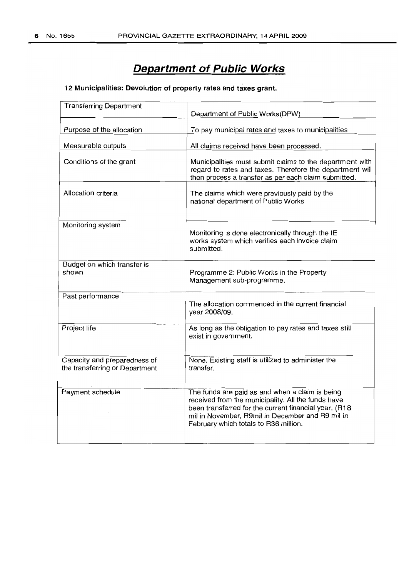# **Department of Public Works**

#### 12 Municipalities: Devolution of property rates and taxes grant.

| <b>Transferring Department</b>                                 | Department of Public Works(DPW)                                                                                                                                                                                                                             |  |  |  |  |
|----------------------------------------------------------------|-------------------------------------------------------------------------------------------------------------------------------------------------------------------------------------------------------------------------------------------------------------|--|--|--|--|
| Purpose of the allocation                                      | To pay municipal rates and taxes to municipalities                                                                                                                                                                                                          |  |  |  |  |
| Measurable outputs                                             | All claims received have been processed.                                                                                                                                                                                                                    |  |  |  |  |
| Conditions of the grant                                        | Municipalities must submit claims to the department with<br>regard to rates and taxes. Therefore the department will<br>then process a transfer as per each claim submitted.                                                                                |  |  |  |  |
| Allocation criteria                                            | The claims which were previously paid by the<br>national department of Public Works                                                                                                                                                                         |  |  |  |  |
| Monitoring system                                              | Monitoring is done electronically through the IE<br>works system which verifies each invoice claim<br>submitted.                                                                                                                                            |  |  |  |  |
| Budget on which transfer is<br>shown                           | Programme 2: Public Works in the Property<br>Management sub-programme.                                                                                                                                                                                      |  |  |  |  |
| Past performance                                               | The allocation commenced in the current financial<br>year 2008/09.                                                                                                                                                                                          |  |  |  |  |
| Project life                                                   | As long as the obligation to pay rates and taxes still<br>exist in government.                                                                                                                                                                              |  |  |  |  |
| Capacity and preparedness of<br>the transferring or Department | None. Existing staff is utilized to administer the<br>transfer.                                                                                                                                                                                             |  |  |  |  |
| Payment schedule                                               | The funds are paid as and when a claim is being<br>received from the municipality. All the funds have<br>been transferred for the current financial year. (R18<br>mil in November, R9mil in December and R9 mil in<br>February which totals to R36 million. |  |  |  |  |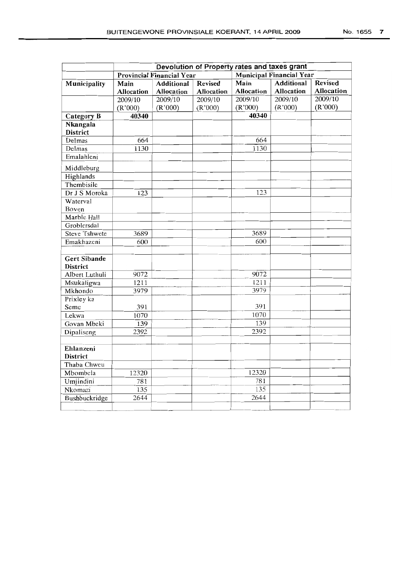|                                        |                                  |                   |                   | Devolution of Property rates and taxes grant |                   |                   |  |
|----------------------------------------|----------------------------------|-------------------|-------------------|----------------------------------------------|-------------------|-------------------|--|
|                                        | <b>Provincial Financial Year</b> |                   |                   | <b>Municipal Financial Year</b>              |                   |                   |  |
| Municipality                           | Main                             | <b>Additional</b> | <b>Revised</b>    | Main                                         | <b>Additional</b> | <b>Revised</b>    |  |
|                                        | <b>Allocation</b>                | <b>Allocation</b> | <b>Allocation</b> | <b>Allocation</b>                            | Allocation        | <b>Allocation</b> |  |
|                                        | 2009/10                          | 2009/10           | 2009/10           | 2009/10                                      | 2009/10           | 2009/10           |  |
|                                        | (R'000)                          | (R'000)           | (R'000)           | (R'000)                                      | (R'000)           | (R'000)           |  |
| Category B                             | 40340                            |                   |                   | 40340                                        |                   |                   |  |
| Nkangala<br><b>District</b>            |                                  |                   |                   |                                              |                   |                   |  |
| Delmas                                 | 664                              |                   |                   | 664                                          |                   |                   |  |
| Delmas                                 | 1130                             |                   |                   | 1130                                         |                   |                   |  |
| Emalahleni                             |                                  |                   |                   |                                              |                   |                   |  |
| Middleburg                             |                                  |                   |                   |                                              |                   |                   |  |
| Highlands                              |                                  |                   |                   |                                              |                   |                   |  |
| Thembisile                             |                                  |                   |                   |                                              |                   |                   |  |
| Dr J S Moroka                          | 123                              |                   |                   | 123                                          |                   |                   |  |
| Waterval                               |                                  |                   |                   |                                              |                   |                   |  |
| Boven                                  |                                  |                   |                   |                                              |                   |                   |  |
| Marble Hall                            |                                  |                   |                   |                                              |                   |                   |  |
| Groblersdal                            |                                  |                   |                   |                                              |                   |                   |  |
| <b>Steve Tshwete</b>                   | 3689                             |                   |                   | 3689                                         |                   |                   |  |
| Emakhazeni                             | 600                              |                   |                   | 600                                          |                   |                   |  |
| <b>Gert Sibande</b><br><b>District</b> |                                  |                   |                   |                                              |                   |                   |  |
| Albert Luthuli                         | 9072                             |                   |                   | 9072                                         |                   |                   |  |
| Msukaligwa                             | 1211                             |                   |                   | 1211                                         |                   |                   |  |
| Mkhondo                                | 3979                             |                   |                   | 3979                                         |                   |                   |  |
| Prixley ka                             |                                  |                   |                   |                                              |                   |                   |  |
| Seme                                   | 391                              |                   |                   | 391                                          |                   |                   |  |
| Lekwa                                  | 1070                             |                   |                   | 1070                                         |                   |                   |  |
| Govan Mbeki                            | 139                              |                   |                   | 139                                          |                   |                   |  |
| Dipaliseng                             | 2392                             |                   |                   | 2392                                         |                   |                   |  |
| Ehlanzeni                              |                                  |                   |                   |                                              |                   |                   |  |

12320<br>
Umjindini 12320<br>
12320<br>
12320<br>
12320 Umjindini 781 781 Nkomazi 135 135<br>Bushbuckridge 2644 2644 Bushbuckridge 2644 2644 2644

**District** Thaba Chweu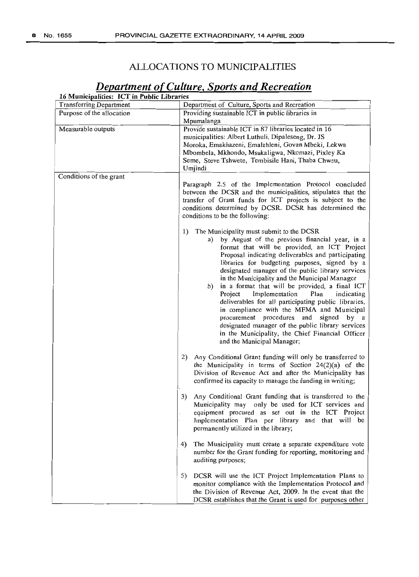### ALLOCATIONS TO MUNICIPALITIES

| 16 Municipalities: ICT in Public Libraries<br><b>Transferring Department</b> |                                                                                                         |  |  |  |  |
|------------------------------------------------------------------------------|---------------------------------------------------------------------------------------------------------|--|--|--|--|
| Purpose of the allocation                                                    | Department of Culture, Sports and Recreation<br>Providing sustainable ICT in public libraries in        |  |  |  |  |
|                                                                              | Mpumalanga                                                                                              |  |  |  |  |
| Measurable outputs                                                           | Provide sustainable ICT in 87 libraries located in 16                                                   |  |  |  |  |
|                                                                              | municipalities: Albert Luthuli, Dipaleseng, Dr. JS                                                      |  |  |  |  |
|                                                                              | Moroka, Emakhazeni, Emalahleni, Govan Mbeki, Lekwa                                                      |  |  |  |  |
|                                                                              | Mbombela, Mkhondo, Msukaligwa, Nkomazi, Pixley Ka                                                       |  |  |  |  |
|                                                                              | Seme, Steve Tshwete, Tembisile Hani, Thaba Chweu,                                                       |  |  |  |  |
|                                                                              | Umjindi                                                                                                 |  |  |  |  |
| Conditions of the grant                                                      | Paragraph 2.5 of the Implementation Protocol concluded                                                  |  |  |  |  |
|                                                                              | between the DCSR and the municipalities, stipulates that the                                            |  |  |  |  |
|                                                                              | transfer of Grant funds for ICT projects is subject to the                                              |  |  |  |  |
|                                                                              | conditions determined by DCSR. DCSR has determined the                                                  |  |  |  |  |
|                                                                              | conditions to be the following:                                                                         |  |  |  |  |
|                                                                              | The Municipality must submit to the DCSR<br>1)                                                          |  |  |  |  |
|                                                                              | by August of the previous financial year, in a<br>a)                                                    |  |  |  |  |
|                                                                              | format that will be provided, an ICT Project                                                            |  |  |  |  |
|                                                                              | Proposal indicating deliverables and participating                                                      |  |  |  |  |
|                                                                              | libraries for budgeting purposes, signed by a                                                           |  |  |  |  |
|                                                                              | designated manager of the public library services<br>in the Municipality and the Municipal Manager      |  |  |  |  |
|                                                                              |                                                                                                         |  |  |  |  |
|                                                                              | in a format that will be provided, a final ICT<br>b)<br>Implementation<br>Project<br>Plan<br>indicating |  |  |  |  |
|                                                                              | deliverables for all participating public libraries,                                                    |  |  |  |  |
|                                                                              | in compliance with the MFMA and Municipal                                                               |  |  |  |  |
|                                                                              | procurement procedures and signed<br>by a                                                               |  |  |  |  |
|                                                                              | designated manager of the public library services                                                       |  |  |  |  |
|                                                                              | in the Municipality, the Chief Financial Officer                                                        |  |  |  |  |
|                                                                              | and the Municipal Manager;                                                                              |  |  |  |  |
|                                                                              | Any Conditional Grant funding will only be transferred to<br>2)                                         |  |  |  |  |
|                                                                              | the Municipality in terms of Section $24(2)(a)$ of the                                                  |  |  |  |  |
|                                                                              | Division of Revenue Act and after the Municipality has                                                  |  |  |  |  |
|                                                                              | confirmed its capacity to manage the funding in writing;                                                |  |  |  |  |
|                                                                              | 3)<br>Any Conditional Grant funding that is transferred to the                                          |  |  |  |  |
|                                                                              | Municipality may only be used for ICT services and                                                      |  |  |  |  |
|                                                                              | equipment procured as set out in the ICT Project                                                        |  |  |  |  |
|                                                                              | Implementation Plan per library and that will be                                                        |  |  |  |  |
|                                                                              | permanently utilized in the library;                                                                    |  |  |  |  |
|                                                                              | The Municipality must create a separate expenditure vote<br>4)                                          |  |  |  |  |
|                                                                              | number for the Grant funding for reporting, monitoring and<br>auditing purposes;                        |  |  |  |  |
|                                                                              | 5)<br>DCSR will use the ICT Project Implementation Plans to                                             |  |  |  |  |
|                                                                              | monitor compliance with the Implementation Protocol and                                                 |  |  |  |  |
|                                                                              | the Division of Revenue Act, 2009. In the event that the                                                |  |  |  |  |
|                                                                              | DCSR establishes that the Grant is used for purposes other                                              |  |  |  |  |

## *Deparlment ofCulture, Sports and Recreation*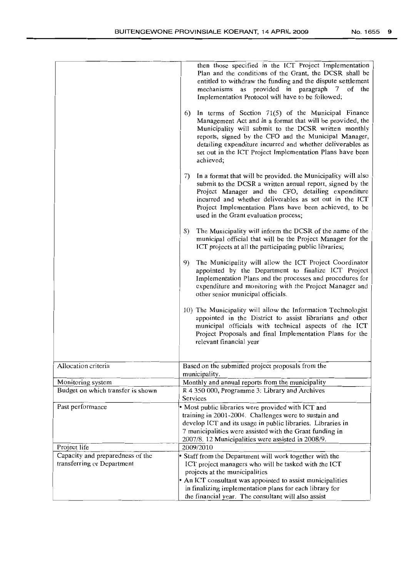|                                                                | then those specified in the ICT Project Implementation<br>Plan and the conditions of the Grant, the DCSR shall be<br>entitled to withdraw the funding and the dispute settlement<br>mechanisms as provided in paragraph 7 of the<br>Implementation Protocol will have to be followed;                                                                                          |
|----------------------------------------------------------------|--------------------------------------------------------------------------------------------------------------------------------------------------------------------------------------------------------------------------------------------------------------------------------------------------------------------------------------------------------------------------------|
|                                                                | In terms of Section 71(5) of the Municipal Finance<br>6)<br>Management Act and in a format that will be provided, the<br>Municipality will submit to the DCSR written monthly<br>reports, signed by the CFO and the Municipal Manager,<br>detailing expenditure incurred and whether deliverables as<br>set out in the ICT Project Implementation Plans have been<br>achieved; |
|                                                                | In a format that will be provided, the Municipality will also<br>7).<br>submit to the DCSR a written annual report, signed by the<br>Project Manager and the CFO, detailing expenditure<br>incurred and whether deliverables as set out in the ICT<br>Project Implementation Plans have been achieved, to be<br>used in the Grant evaluation process;                          |
|                                                                | The Municipality will inform the DCSR of the name of the<br>8)<br>municipal official that will be the Project Manager for the<br>ICT projects at all the participating public libraries;                                                                                                                                                                                       |
|                                                                | The Municipality will allow the ICT Project Coordinator<br>9)<br>appointed by the Department to finalize ICT Project<br>Implementation Plans and the processes and procedures for<br>expenditure and monitoring with the Project Manager and<br>other senior municipal officials.                                                                                              |
|                                                                | 10) The Municipality will allow the Information Technologist<br>appointed in the District to assist librarians and other<br>municipal officials with technical aspects of the ICT<br>Project Proposals and final Implementation Plans for the<br>relevant financial year                                                                                                       |
| Allocation criteria                                            | Based on the submitted project proposals from the<br>municipality.                                                                                                                                                                                                                                                                                                             |
| Monitoring system                                              | Monthly and annual reports from the municipality                                                                                                                                                                                                                                                                                                                               |
| Budget on which transfer is shown                              | R 4 350 000, Programme 3: Library and Archives                                                                                                                                                                                                                                                                                                                                 |
|                                                                | Services                                                                                                                                                                                                                                                                                                                                                                       |
| Past performance                                               | • Most public libraries were provided with ICT and                                                                                                                                                                                                                                                                                                                             |
|                                                                | training in 2001-2004. Challenges were to sustain and<br>develop ICT and its usage in public libraries. Libraries in                                                                                                                                                                                                                                                           |
|                                                                | 7 municipalities were assisted with the Grant funding in                                                                                                                                                                                                                                                                                                                       |
|                                                                | 2007/8. 12 Municipalities were assisted in 2008/9.                                                                                                                                                                                                                                                                                                                             |
| Project life                                                   | 2009/2010                                                                                                                                                                                                                                                                                                                                                                      |
| Capacity and preparedness of the<br>transferring or Department | • Staff from the Department will work together with the                                                                                                                                                                                                                                                                                                                        |
|                                                                | ICT project managers who will be tasked with the ICT<br>projects at the municipalities                                                                                                                                                                                                                                                                                         |
|                                                                | • An ICT consultant was appointed to assist municipalities                                                                                                                                                                                                                                                                                                                     |
|                                                                | in finalizing implementation plans for each library for                                                                                                                                                                                                                                                                                                                        |
|                                                                | the financial year. The consultant will also assist                                                                                                                                                                                                                                                                                                                            |